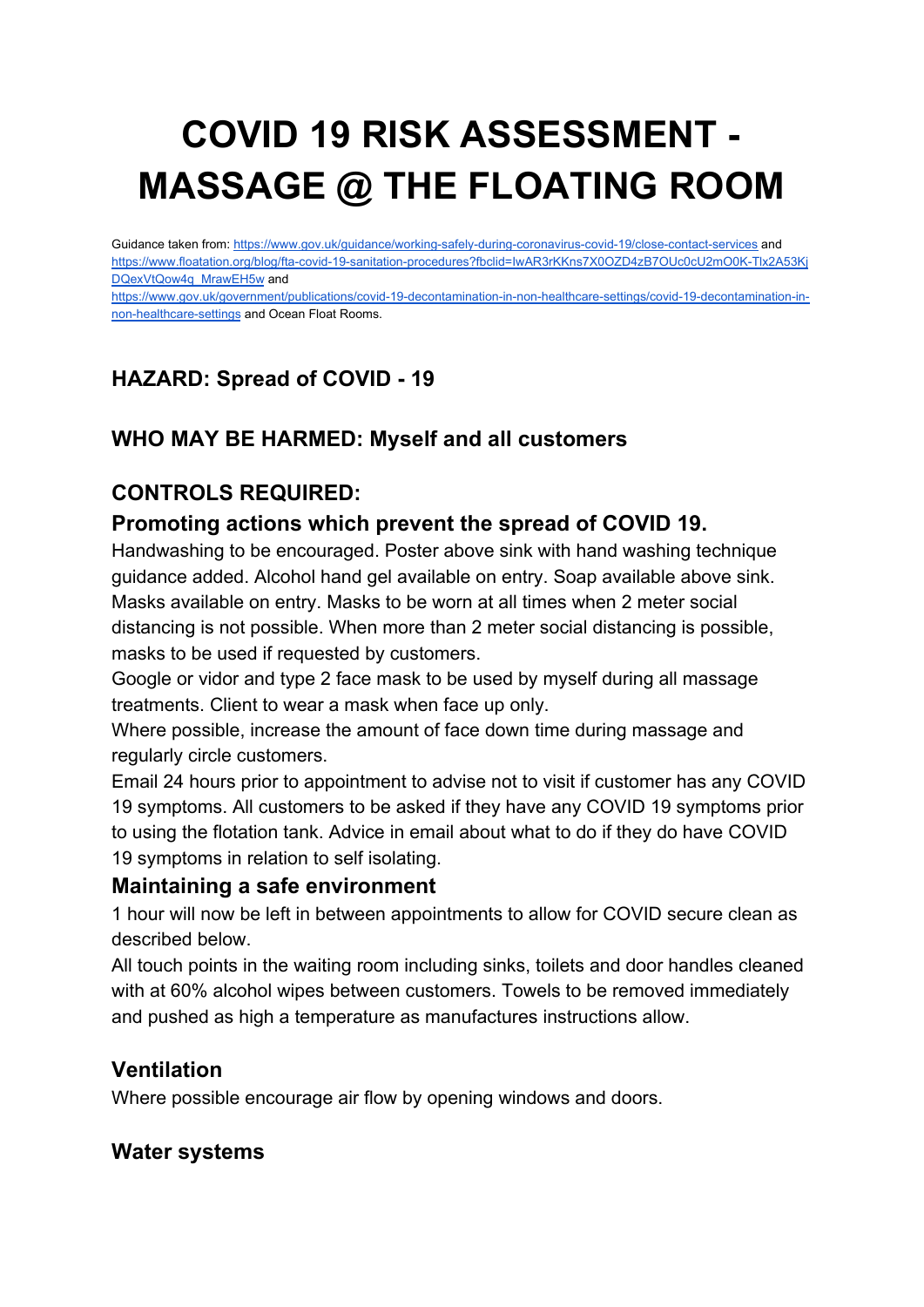# **COVID 19 RISK ASSESSMENT - MASSAGE @ THE FLOATING ROOM**

Guidance taken from: <https://www.gov.uk/guidance/working-safely-during-coronavirus-covid-19/close-contact-services> and [https://www.floatation.org/blog/fta-covid-19-sanitation-procedures?fbclid=IwAR3rKKns7X0OZD4zB7OUc0cU2mO0K-Tlx2A53Kj](https://www.floatation.org/blog/fta-covid-19-sanitation-procedures?fbclid=IwAR3rKKns7X0OZD4zB7OUc0cU2mO0K-Tlx2A53KjDQexVtQow4q_MrawEH5w) [DQexVtQow4q\\_MrawEH5w](https://www.floatation.org/blog/fta-covid-19-sanitation-procedures?fbclid=IwAR3rKKns7X0OZD4zB7OUc0cU2mO0K-Tlx2A53KjDQexVtQow4q_MrawEH5w) and

[https://www.gov.uk/government/publications/covid-19-decontamination-in-non-healthcare-settings/covid-19-decontamination-in](https://www.gov.uk/government/publications/covid-19-decontamination-in-non-healthcare-settings/covid-19-decontamination-in-non-healthcare-settings)[non-healthcare-settings](https://www.gov.uk/government/publications/covid-19-decontamination-in-non-healthcare-settings/covid-19-decontamination-in-non-healthcare-settings) and Ocean Float Rooms.

## **HAZARD: Spread of COVID - 19**

### **WHO MAY BE HARMED: Myself and all customers**

### **CONTROLS REQUIRED:**

#### **Promoting actions which prevent the spread of COVID 19.**

Handwashing to be encouraged. Poster above sink with hand washing technique guidance added. Alcohol hand gel available on entry. Soap available above sink. Masks available on entry. Masks to be worn at all times when 2 meter social distancing is not possible. When more than 2 meter social distancing is possible, masks to be used if requested by customers.

Google or vidor and type 2 face mask to be used by myself during all massage treatments. Client to wear a mask when face up only.

Where possible, increase the amount of face down time during massage and regularly circle customers.

Email 24 hours prior to appointment to advise not to visit if customer has any COVID 19 symptoms. All customers to be asked if they have any COVID 19 symptoms prior to using the flotation tank. Advice in email about what to do if they do have COVID 19 symptoms in relation to self isolating.

#### **Maintaining a safe environment**

1 hour will now be left in between appointments to allow for COVID secure clean as described below.

All touch points in the waiting room including sinks, toilets and door handles cleaned with at 60% alcohol wipes between customers. Towels to be removed immediately and pushed as high a temperature as manufactures instructions allow.

#### **Ventilation**

Where possible encourage air flow by opening windows and doors.

#### **Water systems**